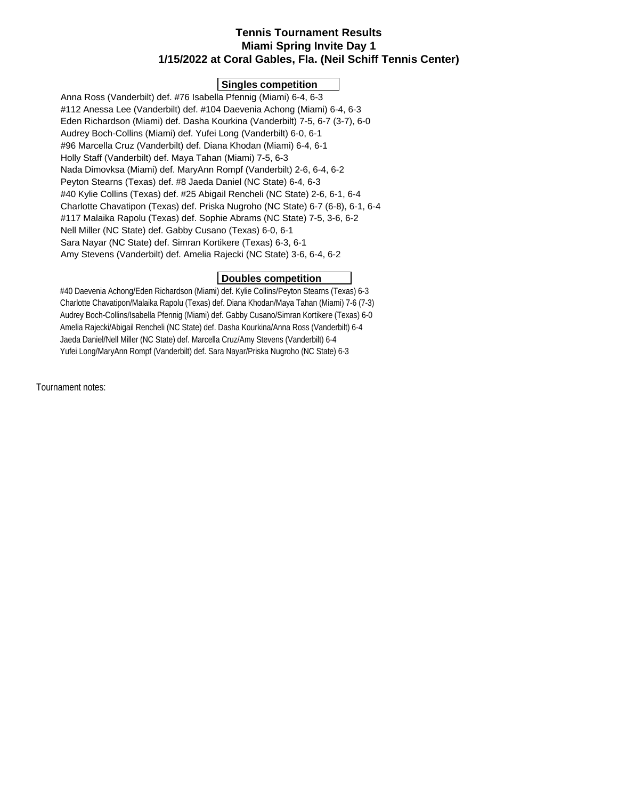# **Tennis Tournament Results Miami Spring Invite Day 1 1/15/2022 at Coral Gables, Fla. (Neil Schiff Tennis Center)**

### **Singles competition**

 Anna Ross (Vanderbilt) def. #76 Isabella Pfennig (Miami) 6-4, 6-3 #112 Anessa Lee (Vanderbilt) def. #104 Daevenia Achong (Miami) 6-4, 6-3 Eden Richardson (Miami) def. Dasha Kourkina (Vanderbilt) 7-5, 6-7 (3-7), 6-0 Audrey Boch-Collins (Miami) def. Yufei Long (Vanderbilt) 6-0, 6-1 #96 Marcella Cruz (Vanderbilt) def. Diana Khodan (Miami) 6-4, 6-1 Holly Staff (Vanderbilt) def. Maya Tahan (Miami) 7-5, 6-3 Nada Dimovksa (Miami) def. MaryAnn Rompf (Vanderbilt) 2-6, 6-4, 6-2 Peyton Stearns (Texas) def. #8 Jaeda Daniel (NC State) 6-4, 6-3 #40 Kylie Collins (Texas) def. #25 Abigail Rencheli (NC State) 2-6, 6-1, 6-4 Charlotte Chavatipon (Texas) def. Priska Nugroho (NC State) 6-7 (6-8), 6-1, 6-4 #117 Malaika Rapolu (Texas) def. Sophie Abrams (NC State) 7-5, 3-6, 6-2 Nell Miller (NC State) def. Gabby Cusano (Texas) 6-0, 6-1 Sara Nayar (NC State) def. Simran Kortikere (Texas) 6-3, 6-1 Amy Stevens (Vanderbilt) def. Amelia Rajecki (NC State) 3-6, 6-4, 6-2

### **Doubles competition**

 #40 Daevenia Achong/Eden Richardson (Miami) def. Kylie Collins/Peyton Stearns (Texas) 6-3 Charlotte Chavatipon/Malaika Rapolu (Texas) def. Diana Khodan/Maya Tahan (Miami) 7-6 (7-3) Audrey Boch-Collins/Isabella Pfennig (Miami) def. Gabby Cusano/Simran Kortikere (Texas) 6-0 Amelia Rajecki/Abigail Rencheli (NC State) def. Dasha Kourkina/Anna Ross (Vanderbilt) 6-4 Jaeda Daniel/Nell Miller (NC State) def. Marcella Cruz/Amy Stevens (Vanderbilt) 6-4 Yufei Long/MaryAnn Rompf (Vanderbilt) def. Sara Nayar/Priska Nugroho (NC State) 6-3

Tournament notes: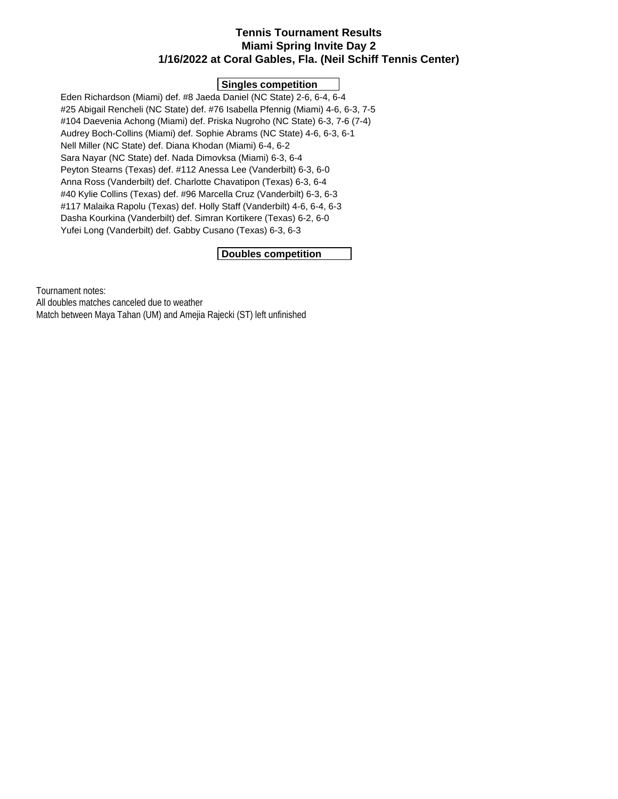## **Tennis Tournament Results Miami Spring Invite Day 2 1/16/2022 at Coral Gables, Fla. (Neil Schiff Tennis Center)**

## **Singles competition**

 Eden Richardson (Miami) def. #8 Jaeda Daniel (NC State) 2-6, 6-4, 6-4 #25 Abigail Rencheli (NC State) def. #76 Isabella Pfennig (Miami) 4-6, 6-3, 7-5 #104 Daevenia Achong (Miami) def. Priska Nugroho (NC State) 6-3, 7-6 (7-4) Audrey Boch-Collins (Miami) def. Sophie Abrams (NC State) 4-6, 6-3, 6-1 Nell Miller (NC State) def. Diana Khodan (Miami) 6-4, 6-2 Sara Nayar (NC State) def. Nada Dimovksa (Miami) 6-3, 6-4 Peyton Stearns (Texas) def. #112 Anessa Lee (Vanderbilt) 6-3, 6-0 Anna Ross (Vanderbilt) def. Charlotte Chavatipon (Texas) 6-3, 6-4 #40 Kylie Collins (Texas) def. #96 Marcella Cruz (Vanderbilt) 6-3, 6-3 #117 Malaika Rapolu (Texas) def. Holly Staff (Vanderbilt) 4-6, 6-4, 6-3 Dasha Kourkina (Vanderbilt) def. Simran Kortikere (Texas) 6-2, 6-0 Yufei Long (Vanderbilt) def. Gabby Cusano (Texas) 6-3, 6-3

## **Doubles competition**

Tournament notes:

All doubles matches canceled due to weather

Match between Maya Tahan (UM) and Amejia Rajecki (ST) left unfinished